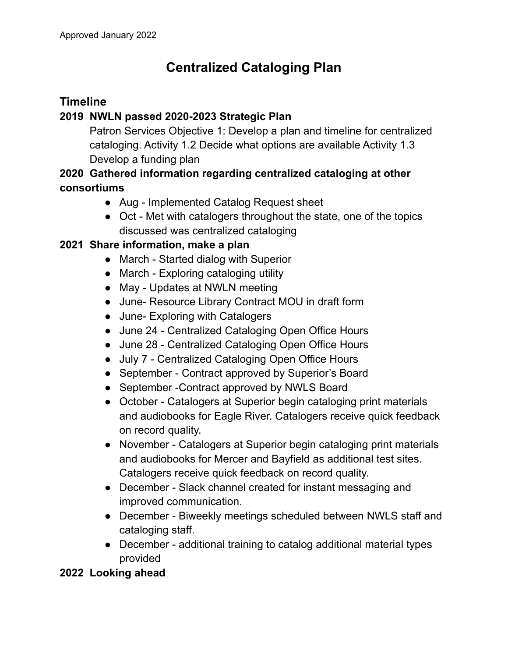# **Centralized Cataloging Plan**

# **Timeline**

## **2019 NWLN passed 2020-2023 Strategic Plan**

Patron Services Objective 1: Develop a plan and timeline for centralized cataloging. Activity 1.2 Decide what options are available Activity 1.3 Develop a funding plan

# **2020 Gathered information regarding centralized cataloging at other consortiums**

- Aug Implemented Catalog Request sheet
- Oct Met with catalogers throughout the state, one of the topics discussed was centralized cataloging

### **2021 Share information, make a plan**

- March Started dialog with Superior
- March Exploring cataloging utility
- May Updates at NWLN meeting
- June- Resource Library Contract MOU in draft form
- June- Exploring with Catalogers
- June 24 Centralized Cataloging Open Office Hours
- June 28 Centralized Cataloging Open Office Hours
- July 7 Centralized Cataloging Open Office Hours
- September Contract approved by Superior's Board
- September Contract approved by NWLS Board
- October Catalogers at Superior begin cataloging print materials and audiobooks for Eagle River. Catalogers receive quick feedback on record quality.
- November Catalogers at Superior begin cataloging print materials and audiobooks for Mercer and Bayfield as additional test sites. Catalogers receive quick feedback on record quality.
- December Slack channel created for instant messaging and improved communication.
- December Biweekly meetings scheduled between NWLS staff and cataloging staff.
- December additional training to catalog additional material types provided

#### **2022 Looking ahead**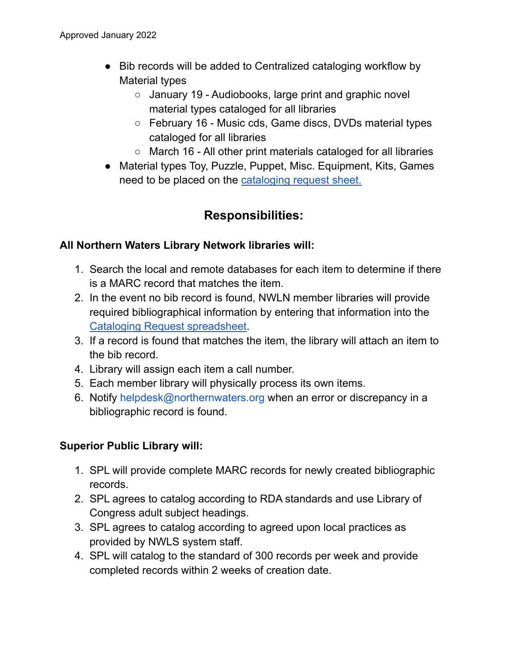- Bib records will be added to Centralized cataloging workflow by Material types
	- January 19 Audiobooks, large print and graphic novel material types cataloged for all libraries
	- February 16 Music cds, Game discs, DVDs material types cataloged for all libraries
	- March 16 All other print materials cataloged for all libraries
- Material types Toy, Puzzle, Puppet, Misc. Equipment, Kits, Games need to be placed on the [cataloging](https://docs.google.com/spreadsheets/d/1AdYccnXAgHHAN8l46N12ptjx7sJre_5x4SZQD-DOv-E/edit?usp=sharing) request sheet.

# **Responsibilities:**

#### **All Northern Waters Library Network libraries will:**

- 1. Search the local and remote databases for each item to determine if there is a MARC record that matches the item.
- 2. In the event no bib record is found, NWLN member libraries will provide required bibliographical information by entering that information into the Cataloging Request [spreadsheet](https://docs.google.com/spreadsheets/d/1AdYccnXAgHHAN8l46N12ptjx7sJre_5x4SZQD-DOv-E/edit?usp=sharing).
- 3. If a record is found that matches the item, the library will attach an item to the bib record.
- 4. Library will assign each item a call number.
- 5. Each member library will physically process its own items.
- 6. Notify helpdesk@northernwaters.org when an error or discrepancy in a bibliographic record is found.

#### **Superior Public Library will:**

- 1. SPL will provide complete MARC records for newly created bibliographic records.
- 2. SPL agrees to catalog according to RDA standards and use Library of Congress adult subject headings.
- 3. SPL agrees to catalog according to agreed upon local practices as provided by NWLS system staff.
- 4. SPL will catalog to the standard of 300 records per week and provide completed records within 2 weeks of creation date.